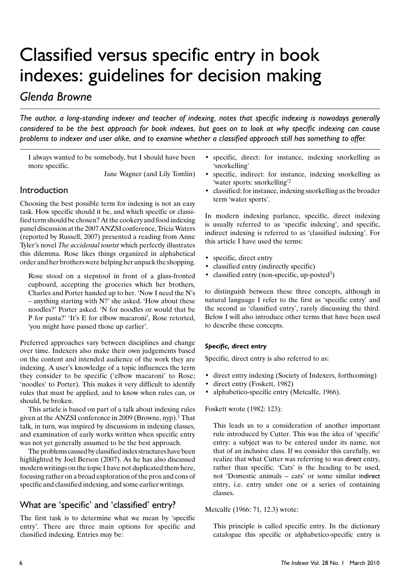# Classified versus specific entry in book indexes: guidelines for decision making

## Glenda Browne

The author, a long-standing indexer and teacher of indexing, notes that specific indexing is nowadays generally considered to be the best approach for book indexes, but goes on to look at why specific indexing can cause problems to indexer and user alike, and to examine whether a classified approach still has something to offer.

I always wanted to be somebody, but I should have been more specific.

Jane Wagner (and Lily Tomlin)

## Introduction

Choosing the best possible term for indexing is not an easy task. How specific should it be, and which specific or classified term should be chosen? At the cookery and food indexing panel discussion at the 2007 ANZSI conference, Tricia Waters (reported by Russell, 2007) presented a reading from Anne Tyler's novel The accidental tourist which perfectly illustrates this dilemma. Rose likes things organized in alphabetical order and her brothers were helping her unpack the shopping.

Rose stood on a stepstool in front of a glass-fronted cupboard, accepting the groceries which her brothers, Charles and Porter handed up to her. 'Now I need the N's  $-$  anything starting with N?' she asked. 'How about these noodles?' Porter asked. 'N for noodles or would that be P for pasta?' 'It's E for elbow macaroni', Rose retorted, 'you might have passed those up earlier'.

Preferred approaches vary between disciplines and change over time. Indexers also make their own judgements based on the content and intended audience of the work they are indexing. A user's knowledge of a topic influences the term they consider to be specific ('elbow macaroni' to Rose; 'noodles' to Porter). This makes it very difficult to identify rules that must be applied, and to know when rules can, or should, be broken.

This article is based on part of a talk about indexing rules given at the ANZSI conference in 2009 (Browne, nyp).<sup>1</sup> That talk, in turn, was inspired by discussions in indexing classes, and examination of early works written when specific entry was not yet generally assumed to be the best approach.

The problems caused by classified index structures have been highlighted by Joel Berson (2007). As he has also discussed modern writings on the topic I have not duplicated them here, focusing rather on a broad exploration of the pros and cons of specific and classified indexing, and some earlier writings.

## What are 'specific' and 'classified' entry?

The first task is to determine what we mean by 'specific entry'. There are three main options for specific and classified indexing. Entries may be:

- specific, direct: for instance, indexing snorkelling as  $\bullet$ 'snorkelling'
- specific, indirect: for instance, indexing snorkelling as 'water sports: snorkelling<sup>2</sup>
- classified: for instance, indexing snorkelling as the broader term 'water sports'.

In modern indexing parlance, specific, direct indexing is usually referred to as 'specific indexing', and specific, indirect indexing is referred to as 'classified indexing'. For this article I have used the terms:

- specific, direct entry
- classified entry (indirectly specific)
- classified entry (non-specific, up-posted<sup>3</sup>)

to distinguish between these three concepts, although in natural language I refer to the first as 'specific entry' and the second as 'classified entry', rarely discussing the third. Below I will also introduce other terms that have been used to describe these concepts.

## Specific, direct entry

Specific, direct entry is also referred to as:

- direct entry indexing (Society of Indexers, forthcoming)
- direct entry (Foskett, 1982)
- alphabetico-specific entry (Metcalfe, 1966).

## Foskett wrote (1982: 123):

This leads us to a consideration of another important rule introduced by Cutter. This was the idea of 'specific' entry: a subject was to be entered under its name, not that of an inclusive class. If we consider this carefully, we realize that what Cutter was referring to was direct entry, rather than specific. 'Cats' is the heading to be used, not 'Domestic animals - cats' or some similar indirect entry, i.e. entry under one or a series of containing classes.

## Metcalfe (1966: 71, 12.3) wrote:

This principle is called specific entry. In the dictionary catalogue this specific or alphabetico-specific entry is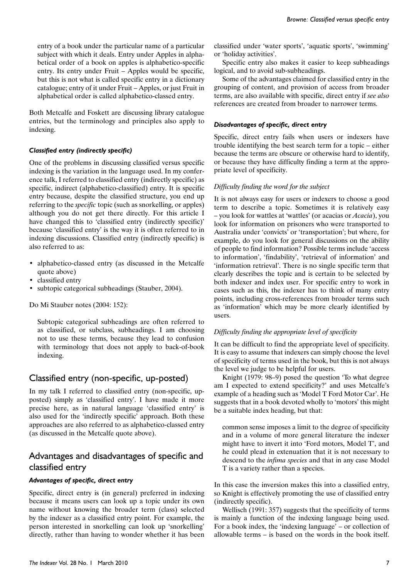entry of a book under the particular name of a particular subject with which it deals. Entry under Apples in alphabetical order of a book on apples is alphabetico-specific entry. Its entry under Fruit – Apples would be specific, but this is not what is called specific entry in a dictionary catalogue; entry of it under Fruit – Apples, or just Fruit in alphabetical order is called alphabetico-classed entry.

Both Metcalfe and Foskett are discussing library catalogue entries, but the terminology and principles also apply to indexing.

## **Classified entry (indirectly specific)**

One of the problems in discussing classified versus specific indexing is the variation in the language used. In my conference talk, I referred to classified entry (indirectly specific) as specific, indirect (alphabetico-classified) entry. It is specific entry because, despite the classified structure, you end up referring to the *specific* topic (such as snorkelling, or apples) although you do not get there directly. For this article I have changed this to 'classified entry (indirectly specific)' because 'classified entry' is the way it is often referred to in indexing discussions. Classified entry (indirectly specific) is also referred to as:

- alphabetico-classed entry (as discussed in the Metcalfe quote above)
- · classified entry
- subtopic categorical subheadings (Stauber, 2004).

Do Mi Stauber notes (2004: 152):

Subtopic categorical subheadings are often referred to as classified, or subclass, subheadings. I am choosing not to use these terms, because they lead to confusion with terminology that does not apply to back-of-book indexing.

## Classified entry (non-specific, up-posted)

In my talk I referred to classified entry (non-specific, upposted) simply as 'classified entry'. I have made it more precise here, as in natural language 'classified entry' is also used for the 'indirectly specific' approach. Both these approaches are also referred to as alphabetico-classed entry (as discussed in the Metcalfe quote above).

## Advantages and disadvantages of specific and classified entry

## Advantages of specific, direct entry

Specific, direct entry is (in general) preferred in indexing because it means users can look up a topic under its own name without knowing the broader term (class) selected by the indexer as a classified entry point. For example, the person interested in snorkelling can look up 'snorkelling' directly, rather than having to wonder whether it has been classified under 'water sports', 'aquatic sports', 'swimming' or 'holiday activities'.

Specific entry also makes it easier to keep subheadings logical, and to avoid sub-subheadings.

Some of the advantages claimed for classified entry in the grouping of content, and provision of access from broader terms, are also available with specific, direct entry if see also references are created from broader to narrower terms.

## Disadvantages of specific, direct entry

Specific, direct entry fails when users or indexers have trouble identifying the best search term for a topic – either because the terms are obscure or otherwise hard to identify, or because they have difficulty finding a term at the appropriate level of specificity.

## Difficulty finding the word for the subject

It is not always easy for users or indexers to choose a good term to describe a topic. Sometimes it is relatively easy - you look for wattles at 'wattles' (or acacias or *Acacia*), you look for information on prisoners who were transported to Australia under 'convicts' or 'transportation'; but where, for example, do you look for general discussions on the ability of people to find information? Possible terms include 'access to information', 'findability', 'retrieval of information' and 'information retrieval'. There is no single specific term that clearly describes the topic and is certain to be selected by both indexer and index user. For specific entry to work in cases such as this, the indexer has to think of many entry points, including cross-references from broader terms such as 'information' which may be more clearly identified by users.

## Difficulty finding the appropriate level of specificity

It can be difficult to find the appropriate level of specificity. It is easy to assume that indexers can simply choose the level of specificity of terms used in the book, but this is not always the level we judge to be helpful for users.

Knight (1979: 98–9) posed the question 'To what degree am I expected to extend specificity?' and uses Metcalfe's example of a heading such as 'Model T Ford Motor Car'. He suggests that in a book devoted wholly to 'motors' this might be a suitable index heading, but that:

common sense imposes a limit to the degree of specificity and in a volume of more general literature the indexer might have to invert it into 'Ford motors, Model T', and he could plead in extenuation that it is not necessary to descend to the infima species and that in any case Model T is a variety rather than a species.

In this case the inversion makes this into a classified entry, so Knight is effectively promoting the use of classified entry (indirectly specific).

Wellisch (1991: 357) suggests that the specificity of terms is mainly a function of the indexing language being used. For a book index, the 'indexing language' – or collection of allowable terms – is based on the words in the book itself.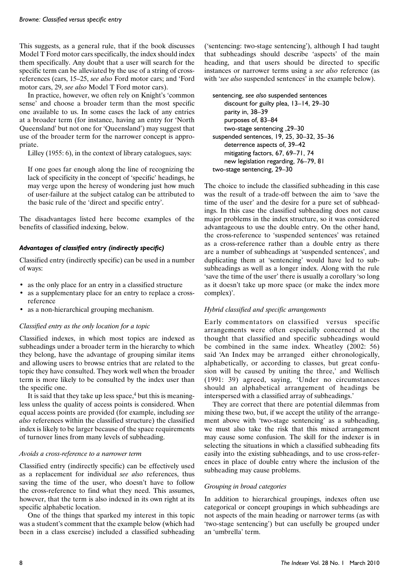This suggests, as a general rule, that if the book discusses Model T Ford motor cars specifically, the index should index them specifically. Any doubt that a user will search for the specific term can be alleviated by the use of a string of crossreferences (cars, 15–25, see also Ford motor cars; and 'Ford motor cars, 29, see also Model T Ford motor cars).

In practice, however, we often rely on Knight's 'common sense' and choose a broader term than the most specific one available to us. In some cases the lack of any entries at a broader term (for instance, having an entry for 'North Queensland' but not one for 'Queensland') may suggest that use of the broader term for the narrower concept is appropriate.

Lilley (1955: 6), in the context of library catalogues, says:

If one goes far enough along the line of recognizing the lack of specificity in the concept of 'specific' headings, he may verge upon the heresy of wondering just how much of user-failure at the subject catalog can be attributed to the basic rule of the 'direct and specific entry'.

The disadvantages listed here become examples of the benefits of classified indexing, below.

## Advantages of classified entry (indirectly specific)

Classified entry (indirectly specific) can be used in a number of ways:

- as the only place for an entry in a classified structure
- as a supplementary place for an entry to replace a crossreference
- as a non-hierarchical grouping mechanism.

## Classified entry as the only location for a topic

Classified indexes, in which most topics are indexed as subheadings under a broader term in the hierarchy to which they belong, have the advantage of grouping similar items and allowing users to browse entries that are related to the topic they have consulted. They work well when the broader term is more likely to be consulted by the index user than the specific one.

It is said that they take up less space,<sup>4</sup> but this is meaningless unless the quality of access points is considered. When equal access points are provided (for example, including see also references within the classified structure) the classified index is likely to be larger because of the space requirements of turnover lines from many levels of subheading.

#### Avoids a cross-reference to a narrower term

Classified entry (indirectly specific) can be effectively used as a replacement for individual see also references, thus saving the time of the user, who doesn't have to follow the cross-reference to find what they need. This assumes, however, that the term is also indexed in its own right at its specific alphabetic location.

One of the things that sparked my interest in this topic was a student's comment that the example below (which had been in a class exercise) included a classified subheading

('sentencing: two-stage sentencing'), although I had taught that subheadings should describe 'aspects' of the main heading, and that users should be directed to specific instances or narrower terms using a see also reference (as with 'see also suspended sentences' in the example below).

## sentencing, see also suspended sentences

discount for guilty plea, 13-14, 29-30 parity in, 38-39 purposes of, 83-84 two-stage sentencing, 29-30 suspended sentences, 19, 25, 30-32, 35-36 deterrence aspects of, 39-42 mitigating factors, 67, 69-71, 74 new legislation regarding, 76-79, 81 two-stage sentencing, 29-30

The choice to include the classified subheading in this case was the result of a trade-off between the aim to 'save the time of the user' and the desire for a pure set of subheadings. In this case the classified subheading does not cause major problems in the index structure, so it was considered advantageous to use the double entry. On the other hand, the cross-reference to 'suspended sentences' was retained as a cross-reference rather than a double entry as there are a number of subheadings at 'suspended sentences', and duplicating them at 'sentencing' would have led to subsubheadings as well as a longer index. Along with the rule 'save the time of the user' there is usually a corollary 'so long as it doesn't take up more space (or make the index more complex)'.

## Hybrid classified and specific arrangements

Early commentators on classified versus specific arrangements were often especially concerned at the thought that classified and specific subheadings would be combined in the same index. Wheatley (2002: 56) said 'An Index may be arranged either chronologically, alphabetically, or according to classes, but great confusion will be caused by uniting the three,' and Wellisch (1991: 39) agreed, saying, 'Under no circumstances should an alphabetical arrangement of headings be interspersed with a classified array of subheadings.'

They are correct that there are potential dilemmas from mixing these two, but, if we accept the utility of the arrangement above with 'two-stage sentencing' as a subheading, we must also take the risk that this mixed arrangement may cause some confusion. The skill for the indexer is in selecting the situations in which a classified subheading fits easily into the existing subheadings, and to use cross-references in place of double entry where the inclusion of the subheading may cause problems.

#### Grouping in broad categories

In addition to hierarchical groupings, indexes often use categorical or concept groupings in which subheadings are not aspects of the main heading or narrower terms (as with 'two-stage sentencing') but can usefully be grouped under an 'umbrella' term.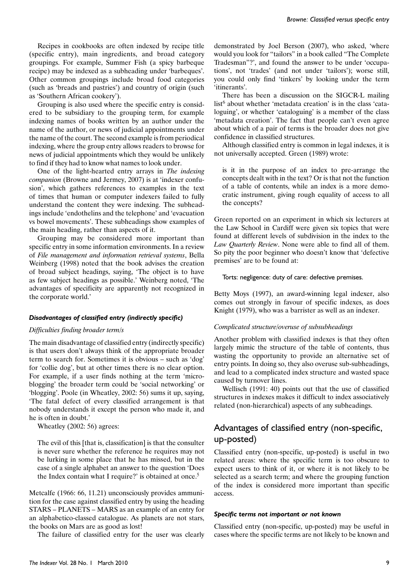Recipes in cookbooks are often indexed by recipe title (specific entry), main ingredients, and broad category groupings. For example, Summer Fish (a spicy barbeque recipe) may be indexed as a subheading under 'barbeques'. Other common groupings include broad food categories (such as 'breads and pastries') and country of origin (such as 'Southern African cookery').

Grouping is also used where the specific entry is considered to be subsidiary to the grouping term, for example indexing names of books written by an author under the name of the author, or news of judicial appointments under the name of the court. The second example is from periodical indexing, where the group entry allows readers to browse for news of judicial appointments which they would be unlikely to find if they had to know what names to look under.

One of the light-hearted entry arrays in The indexing companion (Browne and Jermey, 2007) is at 'indexer confusion', which gathers references to examples in the text of times that human or computer indexers failed to fully understand the content they were indexing. The subheadings include 'endothelins and the telephone' and 'evacuation vs bowel movements'. These subheadings show examples of the main heading, rather than aspects of it.

Grouping may be considered more important than specific entry in some information environments. In a review of File management and information retrieval systems, Bella Weinberg (1998) noted that the book advises the creation of broad subject headings, saying, 'The object is to have as few subject headings as possible.' Weinberg noted, 'The advantages of specificity are apparently not recognized in the corporate world.'

## Disadvantages of classified entry (indirectly specific)

#### Difficulties finding broader term/s

The main disadvantage of classified entry (indirectly specific) is that users don't always think of the appropriate broader term to search for. Sometimes it is obvious – such as 'dog' for 'collie dog', but at other times there is no clear option. For example, if a user finds nothing at the term 'microblogging' the broader term could be 'social networking' or 'blogging'. Poole (in Wheatley, 2002: 56) sums it up, saying, 'The fatal defect of every classified arrangement is that nobody understands it except the person who made it, and he is often in doubt.'

Wheatley  $(2002:56)$  agrees:

The evil of this [that is, classification] is that the consulter is never sure whether the reference he requires may not be lurking in some place that he has missed, but in the case of a single alphabet an answer to the question 'Does the Index contain what I require?' is obtained at once.<sup>5</sup>

Metcalfe (1966: 66, 11.21) unconsciously provides ammunition for the case against classified entry by using the heading STARS - PLANETS - MARS as an example of an entry for an alphabetico-classed catalogue. As planets are not stars, the books on Mars are as good as lost!

The failure of classified entry for the user was clearly

demonstrated by Joel Berson (2007), who asked, 'where would you look for "tailors" in a book called "The Complete" Tradesman"?', and found the answer to be under 'occupations', not 'trades' (and not under 'tailors'); worse still, you could only find 'tinkers' by looking under the term 'itinerants'.

There has been a discussion on the SIGCR-L mailing list<sup>6</sup> about whether 'metadata creation' is in the class 'cataloguing', or whether 'cataloguing' is a member of the class 'metadata creation'. The fact that people can't even agree about which of a pair of terms is the broader does not give confidence in classified structures.

Although classified entry is common in legal indexes, it is not universally accepted. Green (1989) wrote:

is it in the purpose of an index to pre-arrange the concepts dealt with in the text? Or is that not the function of a table of contents, while an index is a more democratic instrument, giving rough equality of access to all the concepts?

Green reported on an experiment in which six lecturers at the Law School in Cardiff were given six topics that were found at different levels of subdivision in the index to the Law Quarterly Review. None were able to find all of them. So pity the poor beginner who doesn't know that 'defective premises' are to be found at:

Torts: negligence: duty of care: defective premises.

Betty Moys (1997), an award-winning legal indexer, also comes out strongly in favour of specific indexes, as does Knight (1979), who was a barrister as well as an indexer.

#### Complicated structure/overuse of subsubheadings

Another problem with classified indexes is that they often largely mimic the structure of the table of contents, thus wasting the opportunity to provide an alternative set of entry points. In doing so, they also overuse sub-subheadings, and lead to a complicated index structure and wasted space caused by turnover lines.

Wellisch (1991: 40) points out that the use of classified structures in indexes makes it difficult to index associatively related (non-hierarchical) aspects of any subheadings.

## Advantages of classified entry (non-specific, up-posted)

Classified entry (non-specific, up-posted) is useful in two related areas: where the specific term is too obscure to expect users to think of it, or where it is not likely to be selected as a search term; and where the grouping function of the index is considered more important than specific access.

#### Specific terms not important or not known

Classified entry (non-specific, up-posted) may be useful in cases where the specific terms are not likely to be known and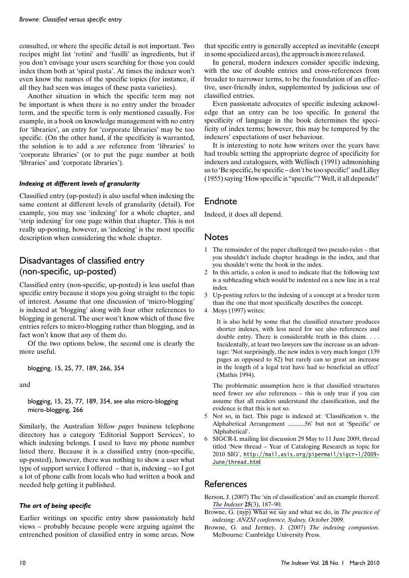consulted, or where the specific detail is not important. Two recipes might list 'rotini' and 'fusilli' as ingredients, but if you don't envisage your users searching for those you could index them both at 'spiral pasta'. At times the indexer won't even know the names of the specific topics (for instance, if all they had seen was images of these pasta varieties).

Another situation in which the specific term may not be important is when there is no entry under the broader term, and the specific term is only mentioned casually. For example, in a book on knowledge management with no entry for 'libraries', an entry for 'corporate libraries' may be too specific. (On the other hand, if the specificity is warranted, the solution is to add a see reference from 'libraries' to 'corporate libraries' (or to put the page number at both 'libraries' and 'corporate libraries').

#### Indexing at different levels of granularity

Classified entry (up-posted) is also useful when indexing the same content at different levels of granularity (detail). For example, you may use 'indexing' for a whole chapter, and 'strip indexing' for one page within that chapter. This is not really up-posting, however, as 'indexing' is the most specific description when considering the whole chapter.

## Disadvantages of classified entry (non-specific, up-posted)

Classified entry (non-specific, up-posted) is less useful than specific entry because it stops you going straight to the topic of interest. Assume that one discussion of 'micro-blogging' is indexed at 'blogging' along with four other references to blogging in general. The user won't know which of those five entries refers to micro-blogging rather than blogging, and in fact won't know that *any* of them do.

Of the two options below, the second one is clearly the more useful.

blogging, 15, 25, 77, 189, 266, 354

and

blogging, 15, 25, 77, 189, 354, see also micro-blogging micro-blogging, 266

Similarly, the Australian Yellow pages business telephone directory has a category 'Editorial Support Services', to which indexing belongs. I used to have my phone number listed there. Because it is a classified entry (non-specific, up-posted), however, there was nothing to show a user what type of support service I offered  $-$  that is, indexing  $-$  so I got a lot of phone calls from locals who had written a book and needed help getting it published.

## The art of being specific

Earlier writings on specific entry show passionately held views – probably because people were arguing against the entrenched position of classified entry in some areas. Now that specific entry is generally accepted as inevitable (except in some specialized areas), the approach is more relaxed.

In general, modern indexers consider specific indexing, with the use of double entries and cross-references from broader to narrower terms, to be the foundation of an effective, user-friendly index, supplemented by judicious use of classified entries.

Even passionate advocates of specific indexing acknowledge that an entry can be too specific. In general the specificity of language in the book determines the specificity of index terms; however, this may be tempered by the indexers' expectations of user behaviour.

It is interesting to note how writers over the years have had trouble setting the appropriate degree of specificity for indexers and cataloguers, with Wellisch (1991) admonishing us to 'Be specific, be specific – don't be too specific!' and Lilley (1955) saying 'How specific is "specific"? Well, it all depends!'

## Endnote

Indeed, it does all depend.

## **Notes**

- 1 The remainder of the paper challenged two pseudo-rules that you shouldn't include chapter headings in the index, and that you shouldn't write the book in the index.
- $\mathcal{L}$ In this article, a colon is used to indicate that the following text is a subheading which would be indented on a new line in a real index.
- 3 Up-posting refers to the indexing of a concept at a broder term than the one that most specifically describes the concept.
- 4 Moys (1997) writes:

It is also held by some that the classified structure produces shorter indexes, with less need for see also references and double entry. There is considerable truth in this claim. . . . Incidentally, at least two lawyers saw the increase as an advantage: 'Not surprisingly, the new index is very much longer (139) pages as opposed to 82) but rarely can so great an increase in the length of a legal text have had so beneficial an effect' (Mathis 1994).

The problematic assumption here is that classified structures need fewer *see also* references – this is only true if you can assume that all readers understand the classification, and the evidence is that this is not so.

- 5 Not so, in fact. This page is indexed at: 'Classification v. the Alphabetical Arrangement ............56' but not at 'Specific' or 'Alphabetical'.
- 6 SIGCR-L mailing list discussion 29 May to 11 June 2009, thread titled 'New thread - Year of Cataloging Research as topic for 2010 SIG', http://mail.asis.org/pipermail/sigcr-1/2009-June/thread.html

## **References**

- Berson, J. (2007) The 'sin of classification' and an example thereof. The Indexer 25(3), 187-90.
- Browne, G. (nyp) What we say and what we do, in The practice of indexing: ANZSI conference, Sydney, October 2009.
- Browne, G. and Jermey, J. (2007) The indexing companion. Melbourne: Cambridge University Press.